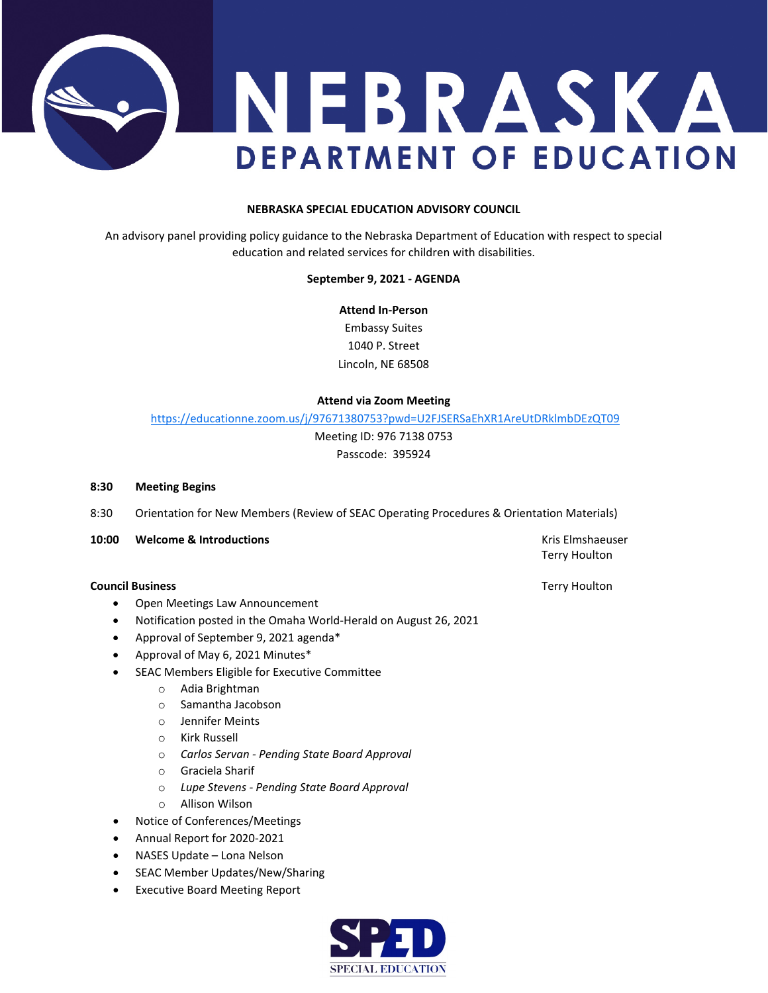

# **NEBRASKA SPECIAL EDUCATION ADVISORY COUNCIL**

An advisory panel providing policy guidance to the Nebraska Department of Education with respect to special education and related services for children with disabilities.

### **September 9, 2021 - AGENDA**

**Attend In-Person** Embassy Suites 1040 P. Street Lincoln, NE 68508

#### **Attend via Zoom Meeting**

<https://educationne.zoom.us/j/97671380753?pwd=U2FJSERSaEhXR1AreUtDRklmbDEzQT09>

Meeting ID: 976 7138 0753 Passcode: 395924

#### **8:30 Meeting Begins**

8:30 Orientation for New Members (Review of SEAC Operating Procedures & Orientation Materials)

## **10:00 Welcome & Introductions All and Security Constructions Kris Elmshaeuser** Kris Elmshaeuser

#### **Council Business** Terry Houlton **Council Business**

- Open Meetings Law Announcement
- Notification posted in the Omaha World-Herald on August 26, 2021
- Approval of September 9, 2021 agenda\*
- Approval of May 6, 2021 Minutes\*
- SEAC Members Eligible for Executive Committee
	- o Adia Brightman
	- o Samantha Jacobson
	- o Jennifer Meints
	- o Kirk Russell
	- o *Carlos Servan - Pending State Board Approval*
	- o Graciela Sharif
	- o *Lupe Stevens - Pending State Board Approval*
	- o Allison Wilson
- Notice of Conferences/Meetings
- Annual Report for 2020-2021
- NASES Update Lona Nelson
- SEAC Member Updates/New/Sharing
- **Executive Board Meeting Report**



Terry Houlton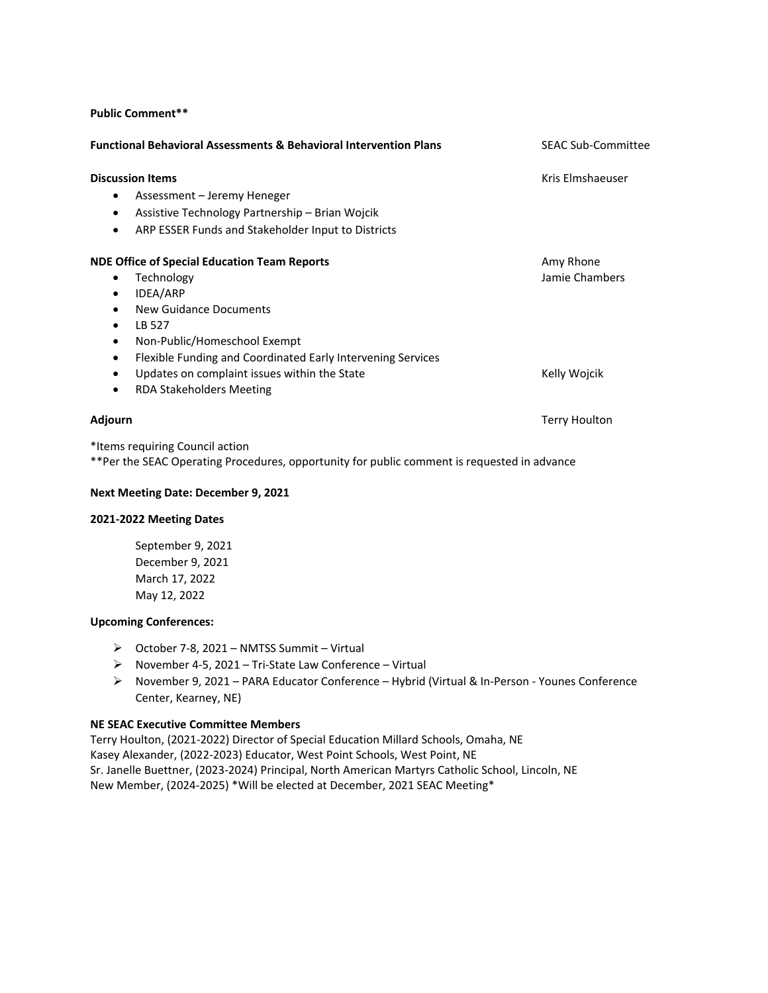### **Public Comment\*\***

| <b>Functional Behavioral Assessments &amp; Behavioral Intervention Plans</b> | <b>SEAC Sub-Committee</b> |
|------------------------------------------------------------------------------|---------------------------|
| <b>Discussion Items</b>                                                      | Kris Elmshaeuser          |
| Assessment – Jeremy Heneger<br>٠                                             |                           |
| Assistive Technology Partnership - Brian Wojcik<br>$\bullet$                 |                           |
| ARP ESSER Funds and Stakeholder Input to Districts<br>$\bullet$              |                           |
| <b>NDE Office of Special Education Team Reports</b>                          | Amy Rhone                 |
| Technology<br>٠                                                              | Jamie Chambers            |
| IDEA/ARP<br>$\bullet$                                                        |                           |
| New Guidance Documents<br>$\bullet$                                          |                           |
| LB 527<br>٠                                                                  |                           |
| Non-Public/Homeschool Exempt<br>$\bullet$                                    |                           |
| Flexible Funding and Coordinated Early Intervening Services<br>٠             |                           |
| Updates on complaint issues within the State<br>٠                            | Kelly Wojcik              |
| <b>RDA Stakeholders Meeting</b><br>٠                                         |                           |
| Adjourn                                                                      | <b>Terry Houlton</b>      |
|                                                                              |                           |

\*Items requiring Council action \*\*Per the SEAC Operating Procedures, opportunity for public comment is requested in advance

### **Next Meeting Date: December 9, 2021**

### **2021-2022 Meeting Dates**

September 9, 2021 December 9, 2021 March 17, 2022 May 12, 2022

## **Upcoming Conferences:**

- $\triangleright$  October 7-8, 2021 NMTSS Summit Virtual
- November 4-5, 2021 Tri-State Law Conference Virtual
- November 9, 2021 PARA Educator Conference Hybrid (Virtual & In-Person Younes Conference Center, Kearney, NE)

## **NE SEAC Executive Committee Members**

Terry Houlton, (2021-2022) Director of Special Education Millard Schools, Omaha, NE Kasey Alexander, (2022-2023) Educator, West Point Schools, West Point, NE Sr. Janelle Buettner, (2023-2024) Principal, North American Martyrs Catholic School, Lincoln, NE New Member, (2024-2025) \*Will be elected at December, 2021 SEAC Meeting\*